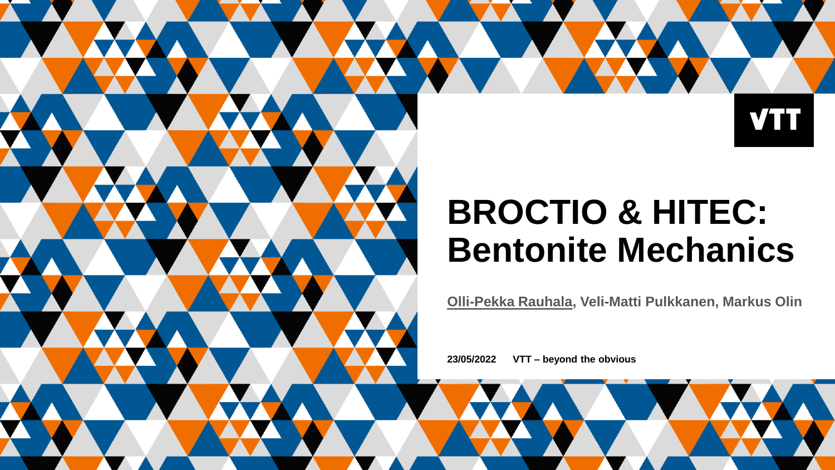**VTT** 

### **BROCTIO & HITEC: Bentonite Mechanics**

**Olli-Pekka Rauhala, Veli-Matti Pulkkanen, Markus Olin**

**23/05/2022 VTT – beyond the obvious**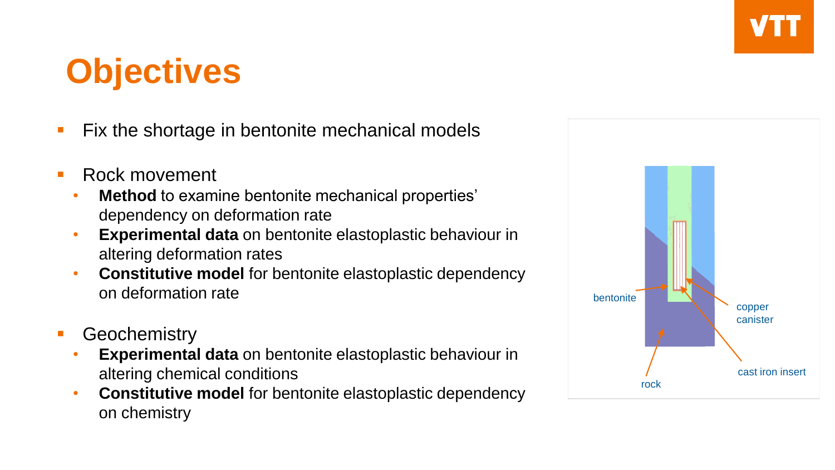## **Objectives**

- Fix the shortage in bentonite mechanical models
- Rock movement
	- **Method** to examine bentonite mechanical properties' dependency on deformation rate
	- **Experimental data** on bentonite elastoplastic behaviour in altering deformation rates
	- **Constitutive model** for bentonite elastoplastic dependency on deformation rate
- **Geochemistry** 
	- **Experimental data** on bentonite elastoplastic behaviour in altering chemical conditions
	- **Constitutive model** for bentonite elastoplastic dependency on chemistry

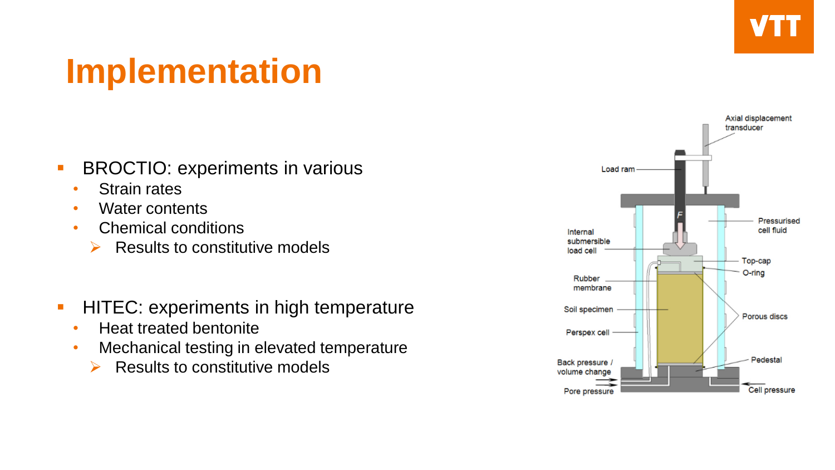# **Implementation**

- **EXECCTIO: experiments in various** 
	- Strain rates
	- Water contents
	- Chemical conditions
		- $\triangleright$  Results to constitutive models
- **HITEC: experiments in high temperature** 
	- Heat treated bentonite
	- Mechanical testing in elevated temperature
		- $\triangleright$  Results to constitutive models

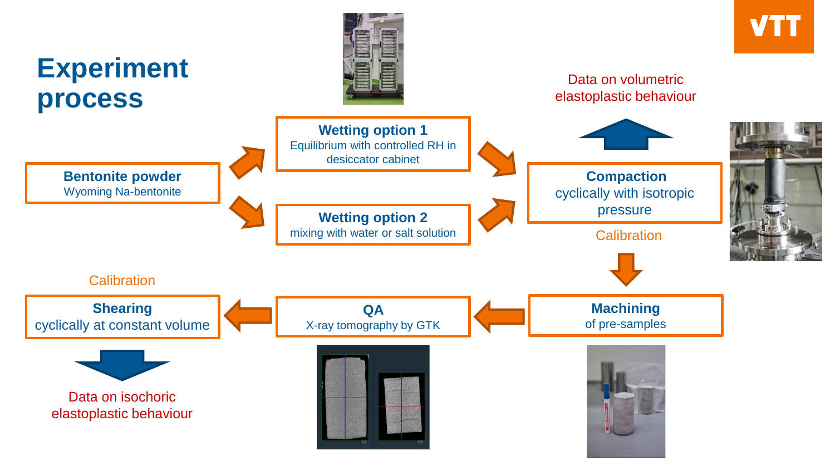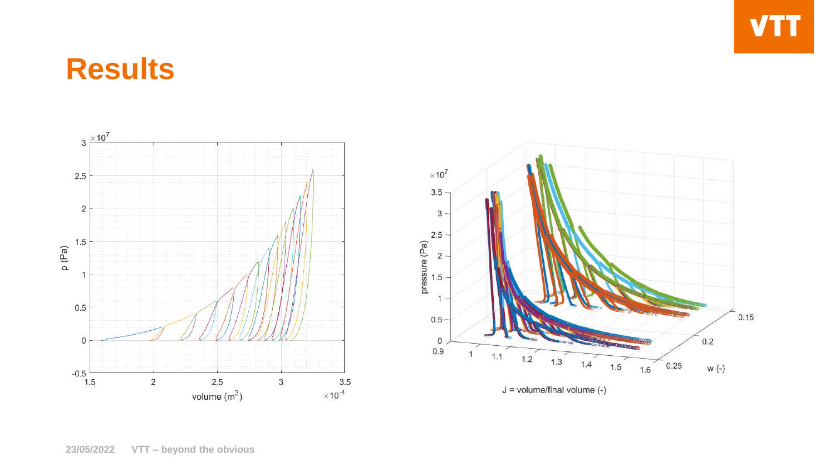### **Results**



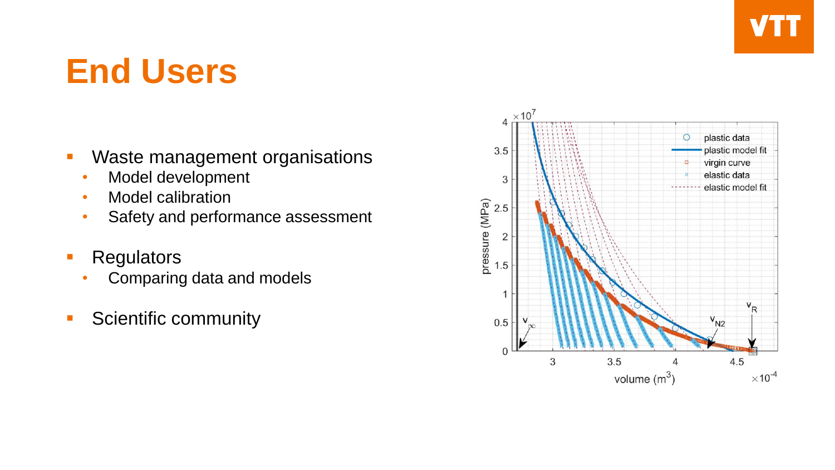### **End Users**

- Waste management organisations
	- Model development
	- Model calibration
	- Safety and performance assessment
- **Regulators** 
	- Comparing data and models
- **•** Scientific community

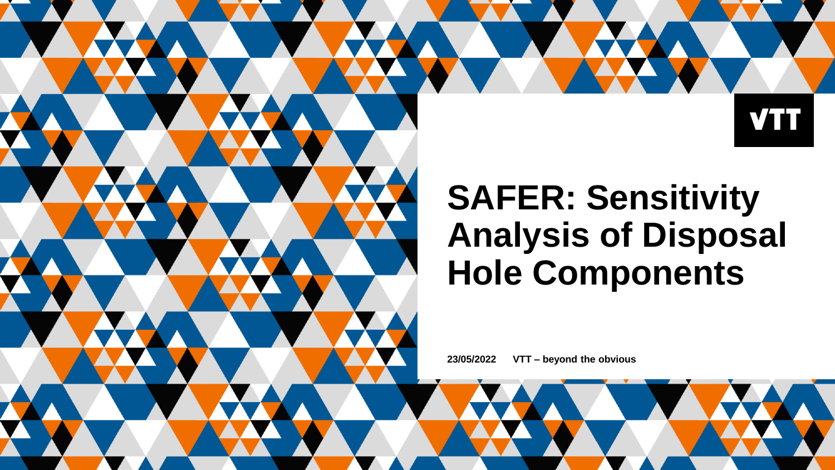

### **SAFER: Sensitivity Analysis of Disposal Hole Components**

**23/05/2022 VTT – beyond the obvious**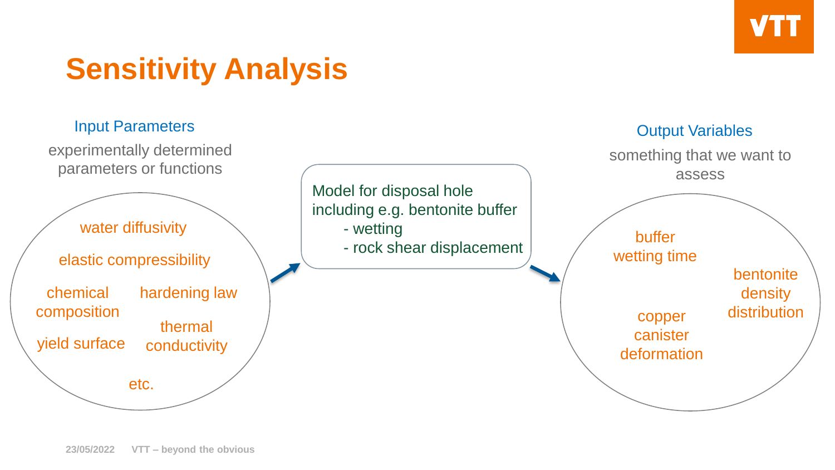

bentonite density

### **Sensitivity Analysis**

### Input Parameters **Output Variables**

experimentally determined parameters or functions





something that we want to assess

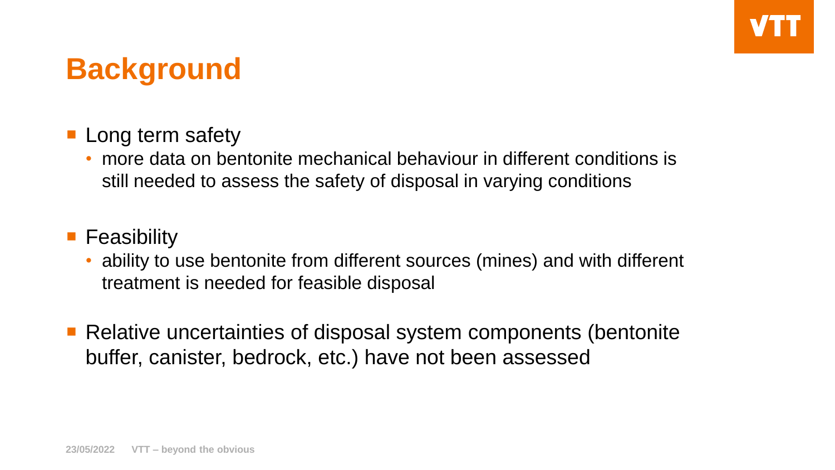### **Background**

- **Long term safety** 
	- more data on bentonite mechanical behaviour in different conditions is still needed to assess the safety of disposal in varying conditions

### **Feasibility**

- ability to use bentonite from different sources (mines) and with different treatment is needed for feasible disposal
- Relative uncertainties of disposal system components (bentonite buffer, canister, bedrock, etc.) have not been assessed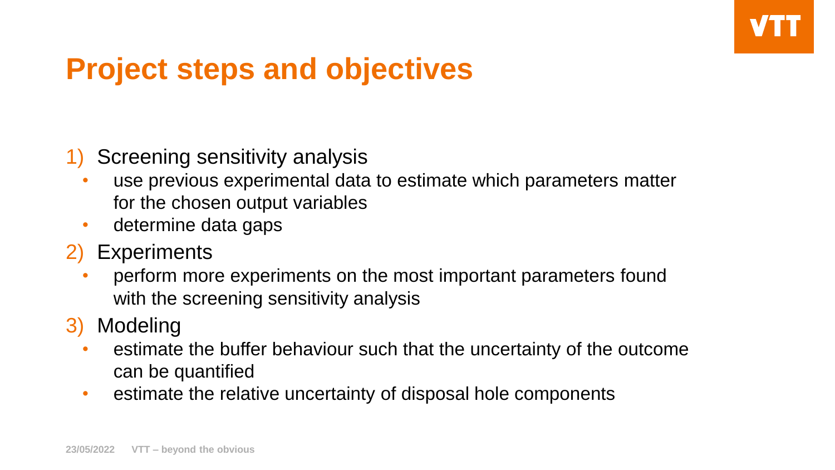### **Project steps and objectives**

- 1) Screening sensitivity analysis
	- use previous experimental data to estimate which parameters matter for the chosen output variables
	- determine data gaps
- 2) Experiments
	- perform more experiments on the most important parameters found with the screening sensitivity analysis
- 3) Modeling
	- estimate the buffer behaviour such that the uncertainty of the outcome can be quantified
	- estimate the relative uncertainty of disposal hole components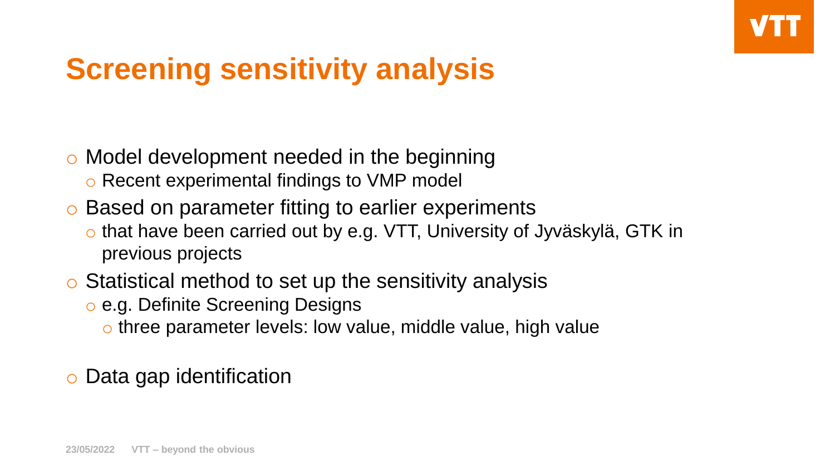### **Screening sensitivity analysis**

- o Model development needed in the beginning
	- o Recent experimental findings to VMP model
- o Based on parameter fitting to earlier experiments
	- o that have been carried out by e.g. VTT, University of Jyväskylä, GTK in previous projects
- o Statistical method to set up the sensitivity analysis
	- o e.g. Definite Screening Designs
		- o three parameter levels: low value, middle value, high value
- Data gap identification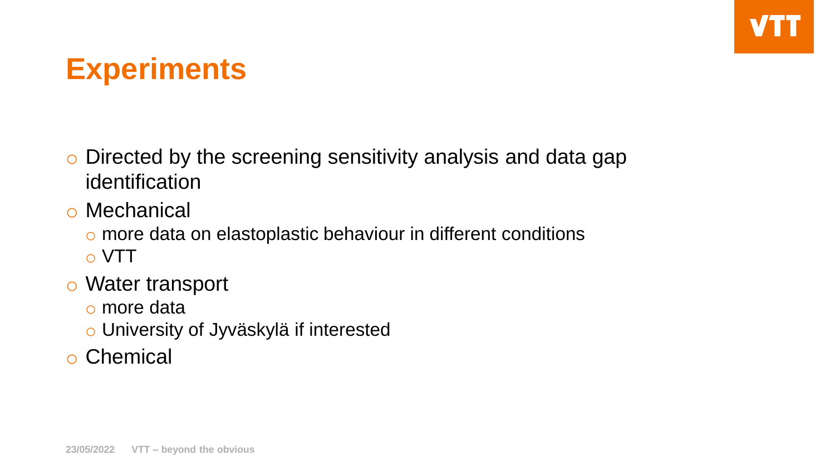### **Experiments**

- o Directed by the screening sensitivity analysis and data gap identification
- o Mechanical
	- o more data on elastoplastic behaviour in different conditions o VTT
- o Water transport
	- o more data
	- o University of Jyväskylä if interested
- o Chemical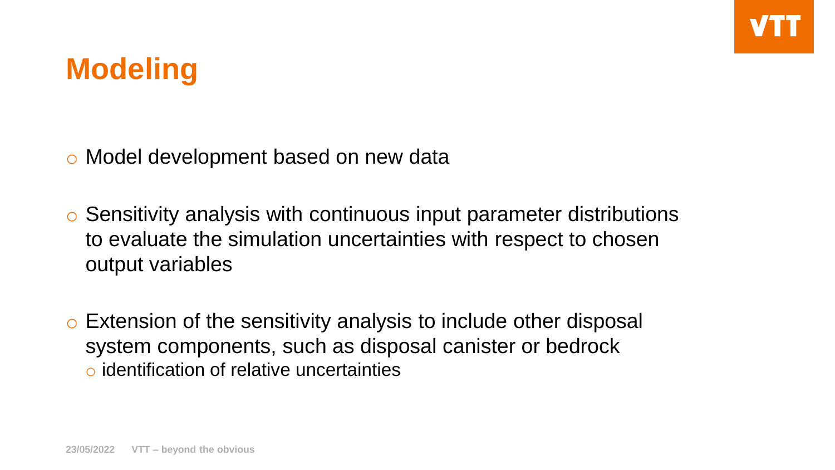### **Modeling**

o Model development based on new data

o Sensitivity analysis with continuous input parameter distributions to evaluate the simulation uncertainties with respect to chosen output variables

o Extension of the sensitivity analysis to include other disposal system components, such as disposal canister or bedrock o identification of relative uncertainties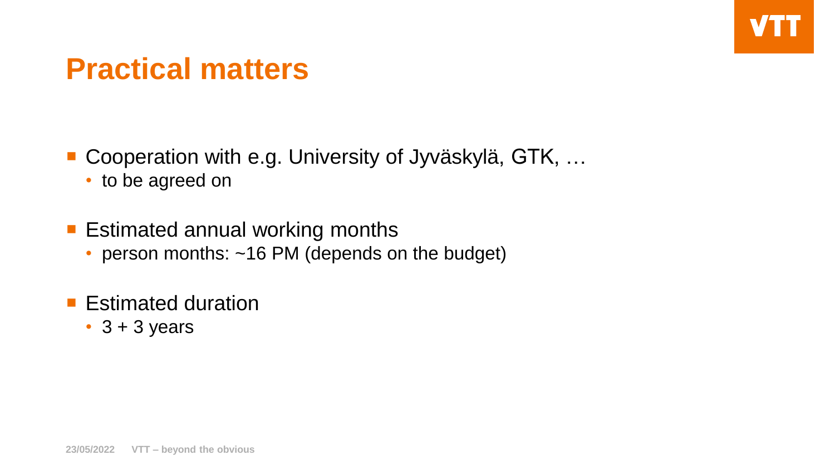### **Practical matters**

■ Cooperation with e.g. University of Jyväskylä, GTK, ...

• to be agreed on

**Estimated annual working months** 

- person months: ~16 PM (depends on the budget)
- **Estimated duration** 
	- $\cdot$  3 + 3 years